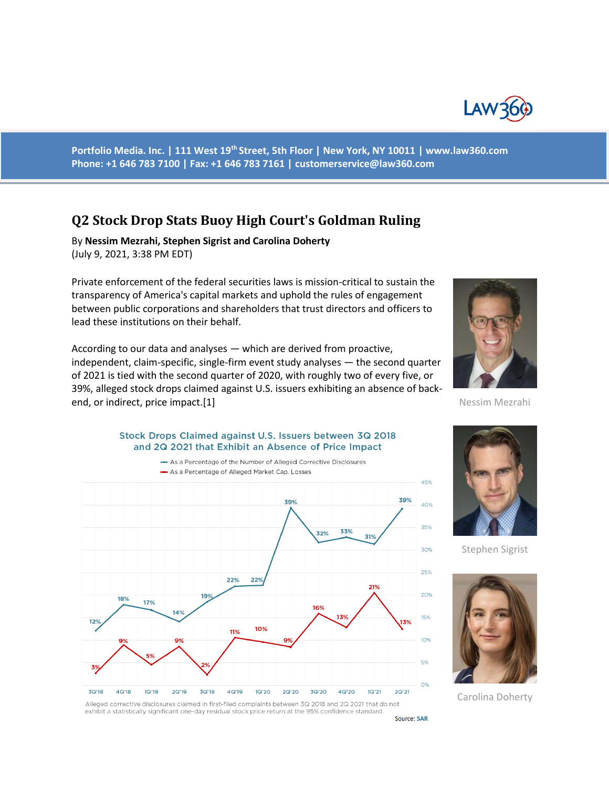

**Portfolio Media. Inc. | 111 West 19th Street, 5th Floor | New York, NY 10011 | www.law360.com Phone: +1 646 783 7100 | Fax: +1 646 783 7161 | customerservice@law360.com**

## **Q2 Stock Drop Stats Buoy High Court's Goldman Ruling**

By **Nessim Mezrahi, Stephen Sigrist and Carolina Doherty** (July 9, 2021, 3:38 PM EDT)

Private enforcement of the federal securities laws is mission-critical to sustain the transparency of America's capital markets and uphold the rules of engagement between public corporations and shareholders that trust directors and officers to lead these institutions on their behalf.

According to our data and analyses — which are derived from proactive, independent, claim-specific, single-firm event study analyses — the second quarter of 2021 is tied with the second quarter of 2020, with roughly two of every five, or 39%, alleged stock drops claimed against U.S. issuers exhibiting an absence of backend, or indirect, price impact.[1] Nessim Mezrahi



## Stock Drops Claimed against U.S. Issuers between 3Q 2018 and 2Q 2021 that Exhibit an Absence of Price Impact





Stephen Sigrist



Carolina Doherty

Alleged corrective disclosures claimed in first-filed complaints between 3Q 2018 and 2Q 2021 that do not exhibit a statistically significant one-day residual stock price return at the 95% confidence standard. **Source: SAR**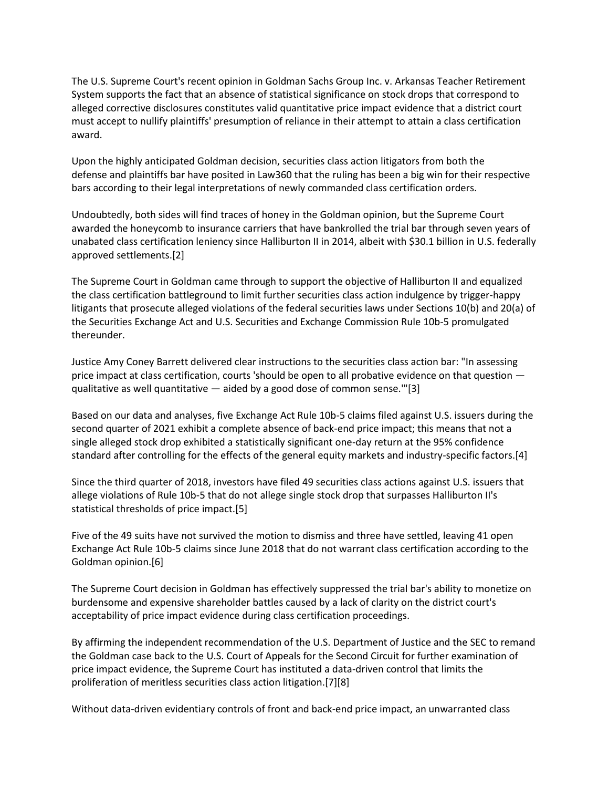The U.S. Supreme Court's recent opinion in Goldman Sachs Group Inc. v. Arkansas Teacher Retirement System supports the fact that an absence of statistical significance on stock drops that correspond to alleged corrective disclosures constitutes valid quantitative price impact evidence that a district court must accept to nullify plaintiffs' presumption of reliance in their attempt to attain a class certification award.

Upon the highly anticipated Goldman decision, securities class action litigators from both the defense and plaintiffs bar have posited in Law360 that the ruling has been a big win for their respective bars according to their legal interpretations of newly commanded class certification orders.

Undoubtedly, both sides will find traces of honey in the Goldman opinion, but the Supreme Court awarded the honeycomb to insurance carriers that have bankrolled the trial bar through seven years of unabated class certification leniency since Halliburton II in 2014, albeit with \$30.1 billion in U.S. federally approved settlements.[2]

The Supreme Court in Goldman came through to support the objective of Halliburton II and equalized the class certification battleground to limit further securities class action indulgence by trigger-happy litigants that prosecute alleged violations of the federal securities laws under Sections 10(b) and 20(a) of the Securities Exchange Act and U.S. Securities and Exchange Commission Rule 10b-5 promulgated thereunder.

Justice Amy Coney Barrett delivered clear instructions to the securities class action bar: "In assessing price impact at class certification, courts 'should be open to all probative evidence on that question qualitative as well quantitative — aided by a good dose of common sense.'"[3]

Based on our data and analyses, five Exchange Act Rule 10b-5 claims filed against U.S. issuers during the second quarter of 2021 exhibit a complete absence of back-end price impact; this means that not a single alleged stock drop exhibited a statistically significant one-day return at the 95% confidence standard after controlling for the effects of the general equity markets and industry-specific factors.[4]

Since the third quarter of 2018, investors have filed 49 securities class actions against U.S. issuers that allege violations of Rule 10b-5 that do not allege single stock drop that surpasses Halliburton II's statistical thresholds of price impact.[5]

Five of the 49 suits have not survived the motion to dismiss and three have settled, leaving 41 open Exchange Act Rule 10b-5 claims since June 2018 that do not warrant class certification according to the Goldman opinion.[6]

The Supreme Court decision in Goldman has effectively suppressed the trial bar's ability to monetize on burdensome and expensive shareholder battles caused by a lack of clarity on the district court's acceptability of price impact evidence during class certification proceedings.

By affirming the independent recommendation of the U.S. Department of Justice and the SEC to remand the Goldman case back to the U.S. Court of Appeals for the Second Circuit for further examination of price impact evidence, the Supreme Court has instituted a data-driven control that limits the proliferation of meritless securities class action litigation.[7][8]

Without data-driven evidentiary controls of front and back-end price impact, an unwarranted class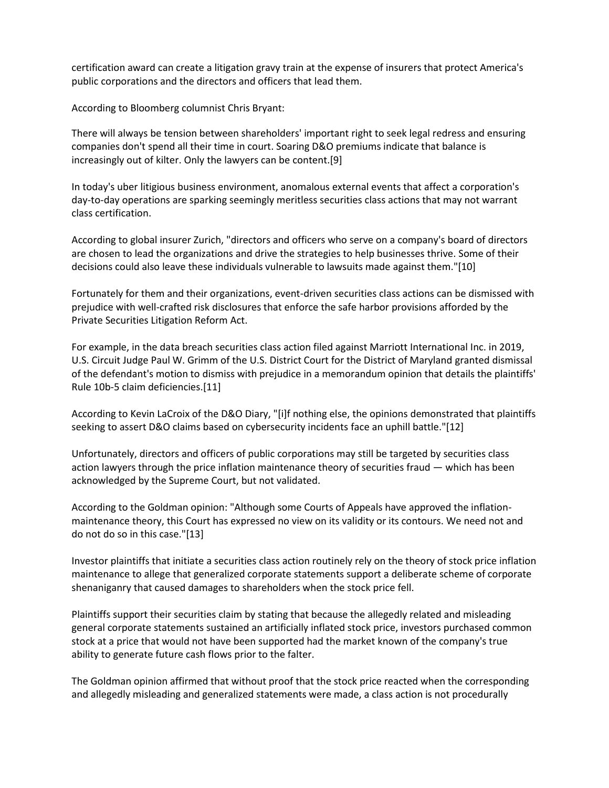certification award can create a litigation gravy train at the expense of insurers that protect America's public corporations and the directors and officers that lead them.

According to Bloomberg columnist Chris Bryant:

There will always be tension between shareholders' important right to seek legal redress and ensuring companies don't spend all their time in court. Soaring D&O premiums indicate that balance is increasingly out of kilter. Only the lawyers can be content.[9]

In today's uber litigious business environment, anomalous external events that affect a corporation's day-to-day operations are sparking seemingly meritless securities class actions that may not warrant class certification.

According to global insurer Zurich, "directors and officers who serve on a company's board of directors are chosen to lead the organizations and drive the strategies to help businesses thrive. Some of their decisions could also leave these individuals vulnerable to lawsuits made against them."[10]

Fortunately for them and their organizations, event-driven securities class actions can be dismissed with prejudice with well-crafted risk disclosures that enforce the safe harbor provisions afforded by the Private Securities Litigation Reform Act.

For example, in the data breach securities class action filed against Marriott International Inc. in 2019, U.S. Circuit Judge Paul W. Grimm of the U.S. District Court for the District of Maryland granted dismissal of the defendant's motion to dismiss with prejudice in a memorandum opinion that details the plaintiffs' Rule 10b-5 claim deficiencies.[11]

According to Kevin LaCroix of the D&O Diary, "[i]f nothing else, the opinions demonstrated that plaintiffs seeking to assert D&O claims based on cybersecurity incidents face an uphill battle."[12]

Unfortunately, directors and officers of public corporations may still be targeted by securities class action lawyers through the price inflation maintenance theory of securities fraud — which has been acknowledged by the Supreme Court, but not validated.

According to the Goldman opinion: "Although some Courts of Appeals have approved the inflationmaintenance theory, this Court has expressed no view on its validity or its contours. We need not and do not do so in this case."[13]

Investor plaintiffs that initiate a securities class action routinely rely on the theory of stock price inflation maintenance to allege that generalized corporate statements support a deliberate scheme of corporate shenaniganry that caused damages to shareholders when the stock price fell.

Plaintiffs support their securities claim by stating that because the allegedly related and misleading general corporate statements sustained an artificially inflated stock price, investors purchased common stock at a price that would not have been supported had the market known of the company's true ability to generate future cash flows prior to the falter.

The Goldman opinion affirmed that without proof that the stock price reacted when the corresponding and allegedly misleading and generalized statements were made, a class action is not procedurally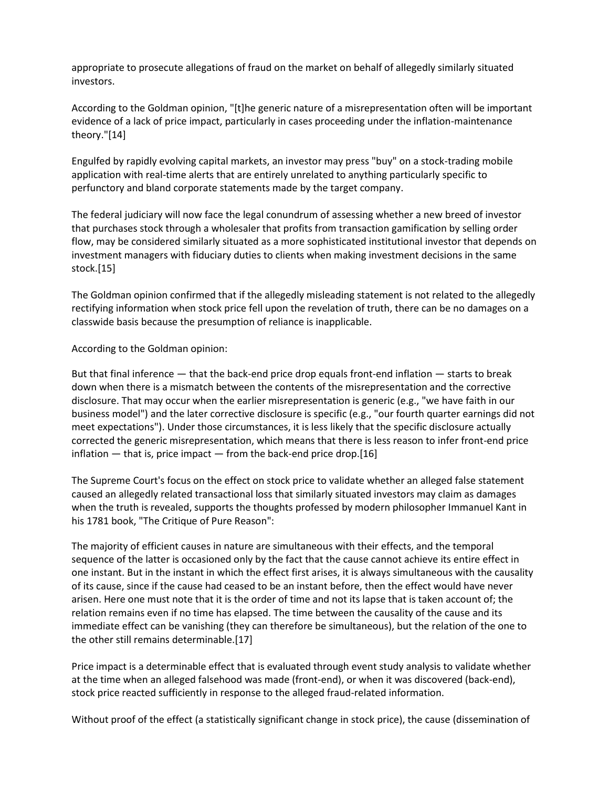appropriate to prosecute allegations of fraud on the market on behalf of allegedly similarly situated investors.

According to the Goldman opinion, "[t]he generic nature of a misrepresentation often will be important evidence of a lack of price impact, particularly in cases proceeding under the inflation-maintenance theory."[14]

Engulfed by rapidly evolving capital markets, an investor may press "buy" on a stock-trading mobile application with real-time alerts that are entirely unrelated to anything particularly specific to perfunctory and bland corporate statements made by the target company.

The federal judiciary will now face the legal conundrum of assessing whether a new breed of investor that purchases stock through a wholesaler that profits from transaction gamification by selling order flow, may be considered similarly situated as a more sophisticated institutional investor that depends on investment managers with fiduciary duties to clients when making investment decisions in the same stock.[15]

The Goldman opinion confirmed that if the allegedly misleading statement is not related to the allegedly rectifying information when stock price fell upon the revelation of truth, there can be no damages on a classwide basis because the presumption of reliance is inapplicable.

According to the Goldman opinion:

But that final inference  $-$  that the back-end price drop equals front-end inflation  $-$  starts to break down when there is a mismatch between the contents of the misrepresentation and the corrective disclosure. That may occur when the earlier misrepresentation is generic (e.g., "we have faith in our business model") and the later corrective disclosure is specific (e.g., "our fourth quarter earnings did not meet expectations"). Under those circumstances, it is less likely that the specific disclosure actually corrected the generic misrepresentation, which means that there is less reason to infer front-end price inflation  $-$  that is, price impact  $-$  from the back-end price drop.[16]

The Supreme Court's focus on the effect on stock price to validate whether an alleged false statement caused an allegedly related transactional loss that similarly situated investors may claim as damages when the truth is revealed, supports the thoughts professed by modern philosopher Immanuel Kant in his 1781 book, "The Critique of Pure Reason":

The majority of efficient causes in nature are simultaneous with their effects, and the temporal sequence of the latter is occasioned only by the fact that the cause cannot achieve its entire effect in one instant. But in the instant in which the effect first arises, it is always simultaneous with the causality of its cause, since if the cause had ceased to be an instant before, then the effect would have never arisen. Here one must note that it is the order of time and not its lapse that is taken account of; the relation remains even if no time has elapsed. The time between the causality of the cause and its immediate effect can be vanishing (they can therefore be simultaneous), but the relation of the one to the other still remains determinable.[17]

Price impact is a determinable effect that is evaluated through event study analysis to validate whether at the time when an alleged falsehood was made (front-end), or when it was discovered (back-end), stock price reacted sufficiently in response to the alleged fraud-related information.

Without proof of the effect (a statistically significant change in stock price), the cause (dissemination of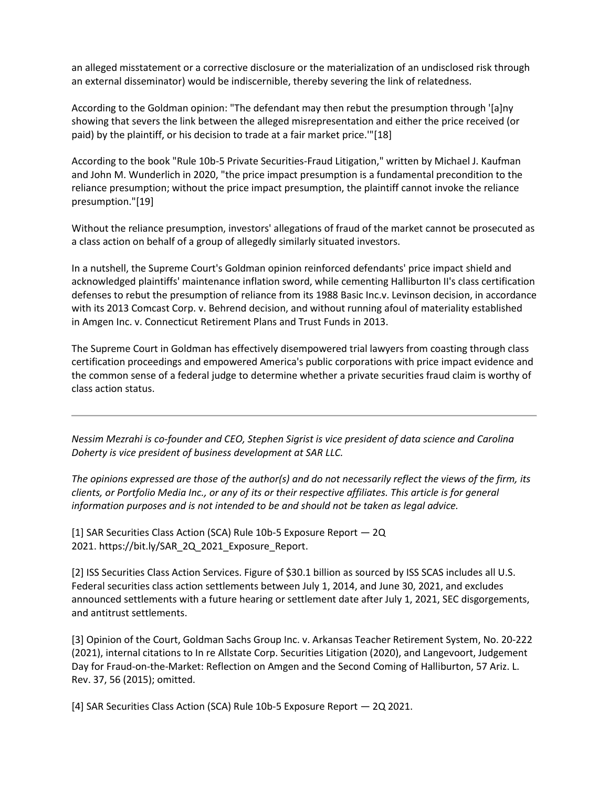an alleged misstatement or a corrective disclosure or the materialization of an undisclosed risk through an external disseminator) would be indiscernible, thereby severing the link of relatedness.

According to the Goldman opinion: "The defendant may then rebut the presumption through '[a]ny showing that severs the link between the alleged misrepresentation and either the price received (or paid) by the plaintiff, or his decision to trade at a fair market price.'"[18]

According to the book "Rule 10b-5 Private Securities-Fraud Litigation," written by Michael J. Kaufman and John M. Wunderlich in 2020, "the price impact presumption is a fundamental precondition to the reliance presumption; without the price impact presumption, the plaintiff cannot invoke the reliance presumption."[19]

Without the reliance presumption, investors' allegations of fraud of the market cannot be prosecuted as a class action on behalf of a group of allegedly similarly situated investors.

In a nutshell, the Supreme Court's Goldman opinion reinforced defendants' price impact shield and acknowledged plaintiffs' maintenance inflation sword, while cementing Halliburton II's class certification defenses to rebut the presumption of reliance from its 1988 Basic Inc.v. Levinson decision, in accordance with its 2013 Comcast Corp. v. Behrend decision, and without running afoul of materiality established in Amgen Inc. v. Connecticut Retirement Plans and Trust Funds in 2013.

The Supreme Court in Goldman has effectively disempowered trial lawyers from coasting through class certification proceedings and empowered America's public corporations with price impact evidence and the common sense of a federal judge to determine whether a private securities fraud claim is worthy of class action status.

*Nessim Mezrahi is co-founder and CEO, Stephen Sigrist is vice president of data science and Carolina Doherty is vice president of business development at SAR LLC.*

*The opinions expressed are those of the author(s) and do not necessarily reflect the views of the firm, its clients, or Portfolio Media Inc., or any of its or their respective affiliates. This article is for general information purposes and is not intended to be and should not be taken as legal advice.*

[1] SAR Securities Class Action (SCA) Rule 10b-5 Exposure Report — 2Q 2021. https://bit.ly/SAR\_2Q\_2021\_Exposure\_Report.

[2] ISS Securities Class Action Services. Figure of \$30.1 billion as sourced by ISS SCAS includes all U.S. Federal securities class action settlements between July 1, 2014, and June 30, 2021, and excludes announced settlements with a future hearing or settlement date after July 1, 2021, SEC disgorgements, and antitrust settlements.

[3] Opinion of the Court, Goldman Sachs Group Inc. v. Arkansas Teacher Retirement System, No. 20-222 (2021), internal citations to In re Allstate Corp. Securities Litigation (2020), and Langevoort, Judgement Day for Fraud-on-the-Market: Reflection on Amgen and the Second Coming of Halliburton, 57 Ariz. L. Rev. 37, 56 (2015); omitted.

[4] SAR Securities Class Action (SCA) Rule 10b-5 Exposure Report — 2Q 2021.